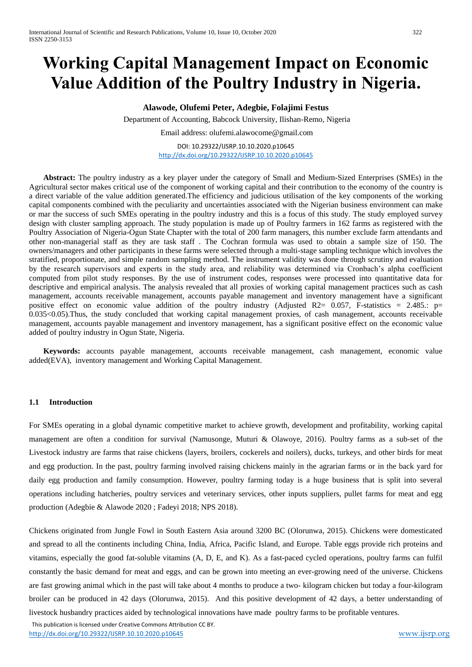# **Working Capital Management Impact on Economic Value Addition of the Poultry Industry in Nigeria.**

# **Alawode, Olufemi Peter, Adegbie, Folajimi Festus**

Department of Accounting, Babcock University, Ilishan-Remo, Nigeria

Email address: olufemi.alawocome@gmail.com

DOI: 10.29322/IJSRP.10.10.2020.p10645 <http://dx.doi.org/10.29322/IJSRP.10.10.2020.p10645>

**Abstract:** The poultry industry as a key player under the category of Small and Medium-Sized Enterprises (SMEs) in the Agricultural sector makes critical use of the component of working capital and their contribution to the economy of the country is a direct variable of the value addition generated.The efficiency and judicious utilisation of the key components of the working capital components combined with the peculiarity and uncertainties associated with the Nigerian business environment can make or mar the success of such SMEs operating in the poultry industry and this is a focus of this study. The study employed survey design with cluster sampling approach. The study population is made up of Poultry farmers in 162 farms as registered with the Poultry Association of Nigeria-Ogun State Chapter with the total of 200 farm managers, this number exclude farm attendants and other non-managerial staff as they are task staff . The Cochran formula was used to obtain a sample size of 150. The owners/managers and other participants in these farms were selected through a multi-stage sampling technique which involves the stratified, proportionate, and simple random sampling method. The instrument validity was done through scrutiny and evaluation by the research supervisors and experts in the study area, and reliability was determined via Cronbach's alpha coefficient computed from pilot study responses. By the use of instrument codes, responses were processed into quantitative data for descriptive and empirical analysis. The analysis revealed that all proxies of working capital management practices such as cash management, accounts receivable management, accounts payable management and inventory management have a significant positive effect on economic value addition of the poultry industry (Adjusted R2=  $0.057$ , F-statistics = 2.485.: p= 0.035<0.05).Thus, the study concluded that working capital management proxies, of cash management, accounts receivable management, accounts payable management and inventory management, has a significant positive effect on the economic value added of poultry industry in Ogun State, Nigeria.

**Keywords:** accounts payable management, accounts receivable management, cash management, economic value added(EVA), inventory management and Working Capital Management.

## **1.1 Introduction**

For SMEs operating in a global dynamic competitive market to achieve growth, development and profitability, working capital management are often a condition for survival (Namusonge, Muturi & Olawoye, 2016). Poultry farms as a sub-set of the Livestock industry are farms that raise chickens (layers, broilers, cockerels and noilers), ducks, turkeys, and other birds for meat and egg production. In the past, poultry farming involved raising chickens mainly in the agrarian farms or in the back yard for daily egg production and family consumption. However, poultry farming today is a huge business that is split into several operations including hatcheries, poultry services and veterinary services, other inputs suppliers, pullet farms for meat and egg production (Adegbie & Alawode 2020 ; Fadeyi 2018; NPS 2018).

Chickens originated from Jungle Fowl in South Eastern Asia around 3200 BC (Olorunwa, 2015). Chickens were domesticated and spread to all the continents including China, India, Africa, Pacific Island, and Europe. Table eggs provide rich proteins and vitamins, especially the good fat-soluble vitamins (A, D, E, and K). As a fast-paced cycled operations, poultry farms can fulfil constantly the basic demand for meat and eggs, and can be grown into meeting an ever-growing need of the universe. Chickens are fast growing animal which in the past will take about 4 months to produce a two- kilogram chicken but today a four-kilogram broiler can be produced in 42 days (Olorunwa, 2015). And this positive development of 42 days, a better understanding of livestock husbandry practices aided by technological innovations have made poultry farms to be profitable ventures.

This publication is licensed under Creative Commons Attribution CC BY.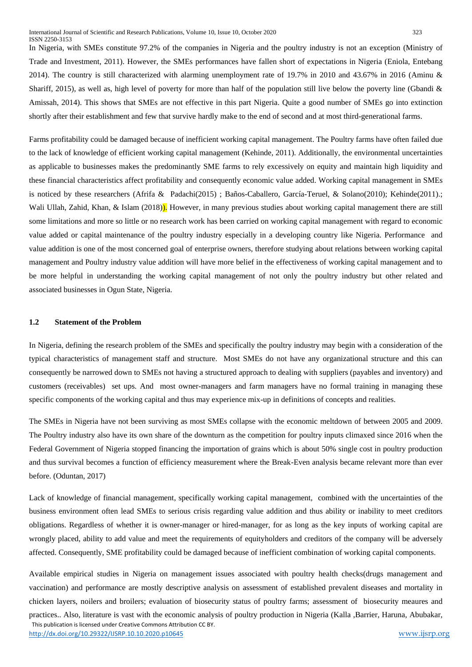In Nigeria, with SMEs constitute 97.2% of the companies in Nigeria and the poultry industry is not an exception (Ministry of Trade and Investment, 2011). However, the SMEs performances have fallen short of expectations in Nigeria (Eniola, Entebang 2014). The country is still characterized with alarming unemployment rate of 19.7% in 2010 and 43.67% in 2016 (Aminu & Shariff, 2015), as well as, high level of poverty for more than half of the population still live below the poverty line (Gbandi & Amissah, 2014). This shows that SMEs are not effective in this part Nigeria. Quite a good number of SMEs go into extinction shortly after their establishment and few that survive hardly make to the end of second and at most third-generational farms.

Farms profitability could be damaged because of inefficient working capital management. The Poultry farms have often failed due to the lack of knowledge of efficient working capital management (Kehinde, 2011). Additionally, the environmental uncertainties as applicable to businesses makes the predominantly SME farms to rely excessively on equity and maintain high liquidity and these financial characteristics affect profitability and consequently economic value added. Working capital management in SMEs is noticed by these researchers (Afrifa & Padachi(2015) ; Baños-Caballero, García-Teruel, & Solano(2010); Kehinde(2011).; Wali Ullah, Zahid, Khan, & Islam (2018). However, in many previous studies about working capital management there are still some limitations and more so little or no research work has been carried on working capital management with regard to economic value added or capital maintenance of the poultry industry especially in a developing country like Nigeria. Performance and value addition is one of the most concerned goal of enterprise owners, therefore studying about relations between working capital management and Poultry industry value addition will have more belief in the effectiveness of working capital management and to be more helpful in understanding the working capital management of not only the poultry industry but other related and associated businesses in Ogun State, Nigeria.

#### **1.2 Statement of the Problem**

In Nigeria, defining the research problem of the SMEs and specifically the poultry industry may begin with a consideration of the typical characteristics of management staff and structure. Most SMEs do not have any organizational structure and this can consequently be narrowed down to SMEs not having a structured approach to dealing with suppliers (payables and inventory) and customers (receivables) set ups. And most owner-managers and farm managers have no formal training in managing these specific components of the working capital and thus may experience mix-up in definitions of concepts and realities.

The SMEs in Nigeria have not been surviving as most SMEs collapse with the economic meltdown of between 2005 and 2009. The Poultry industry also have its own share of the downturn as the competition for poultry inputs climaxed since 2016 when the Federal Government of Nigeria stopped financing the importation of grains which is about 50% single cost in poultry production and thus survival becomes a function of efficiency measurement where the Break-Even analysis became relevant more than ever before. (Oduntan, 2017)

Lack of knowledge of financial management, specifically working capital management, combined with the uncertainties of the business environment often lead SMEs to serious crisis regarding value addition and thus ability or inability to meet creditors obligations. Regardless of whether it is owner-manager or hired-manager, for as long as the key inputs of working capital are wrongly placed, ability to add value and meet the requirements of equityholders and creditors of the company will be adversely affected. Consequently, SME profitability could be damaged because of inefficient combination of working capital components.

 This publication is licensed under Creative Commons Attribution CC BY. <http://dx.doi.org/10.29322/IJSRP.10.10.2020.p10645> [www.ijsrp.org](http://ijsrp.org/) Available empirical studies in Nigeria on management issues associated with poultry health checks(drugs management and vaccination) and performance are mostly descriptive analysis on assessment of established prevalent diseases and mortality in chicken layers, noilers and broilers; evaluation of biosecurity status of poultry farms; assessment of biosecurity meaures and practices.. Also, literature is vast with the economic analysis of poultry production in Nigeria (Kalla ,Barrier, Haruna, Abubakar,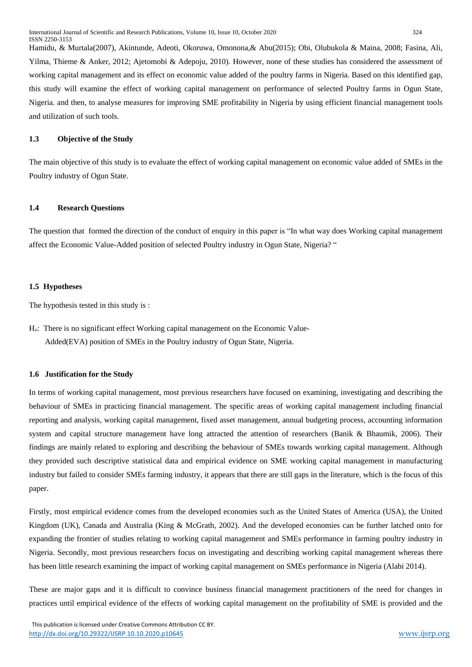Hamidu, & Murtala(2007), Akintunde, Adeoti, Okoruwa, Omonona,& Abu(2015); Obi, Olubukola & Maina, 2008; Fasina, Ali, Yilma, Thieme & Anker, 2012; Ajetomobi & Adepoju, 2010). However, none of these studies has considered the assessment of working capital management and its effect on economic value added of the poultry farms in Nigeria. Based on this identified gap, this study will examine the effect of working capital management on performance of selected Poultry farms in Ogun State, Nigeria. and then, to analyse measures for improving SME profitability in Nigeria by using efficient financial management tools and utilization of such tools.

# **1.3 Objective of the Study**

The main objective of this study is to evaluate the effect of working capital management on economic value added of SMEs in the Poultry industry of Ogun State.

## **1.4 Research Questions**

The question that formed the direction of the conduct of enquiry in this paper is "In what way does Working capital management affect the Economic Value-Added position of selected Poultry industry in Ogun State, Nigeria? "

#### **1.5 Hypotheses**

The hypothesis tested in this study is :

Ho: There is no significant effect Working capital management on the Economic Value- Added(EVA) position of SMEs in the Poultry industry of Ogun State, Nigeria.

## **1.6 Justification for the Study**

In terms of working capital management, most previous researchers have focused on examining, investigating and describing the behaviour of SMEs in practicing financial management. The specific areas of working capital management including financial reporting and analysis, working capital management, fixed asset management, annual budgeting process, accounting information system and capital structure management have long attracted the attention of researchers (Banik & Bhaumik, 2006). Their findings are mainly related to exploring and describing the behaviour of SMEs towards working capital management. Although they provided such descriptive statistical data and empirical evidence on SME working capital management in manufacturing industry but failed to consider SMEs farming industry, it appears that there are still gaps in the literature, which is the focus of this paper.

Firstly, most empirical evidence comes from the developed economies such as the United States of America (USA), the United Kingdom (UK), Canada and Australia (King & McGrath, 2002). And the developed economies can be further latched onto for expanding the frontier of studies relating to working capital management and SMEs performance in farming poultry industry in Nigeria. Secondly, most previous researchers focus on investigating and describing working capital management whereas there has been little research examining the impact of working capital management on SMEs performance in Nigeria (Alabi 2014).

These are major gaps and it is difficult to convince business financial management practitioners of the need for changes in practices until empirical evidence of the effects of working capital management on the profitability of SME is provided and the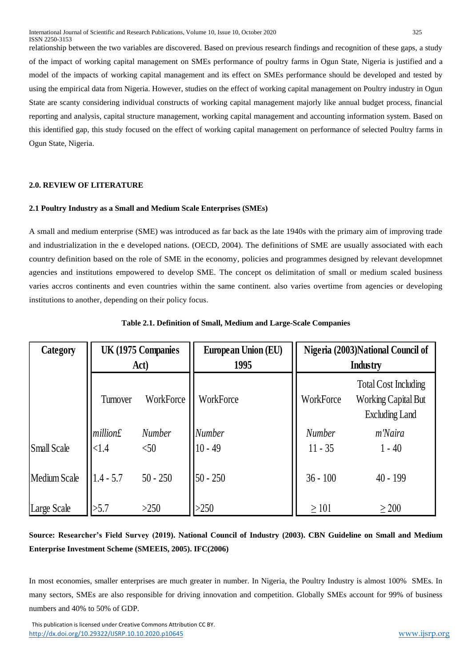relationship between the two variables are discovered. Based on previous research findings and recognition of these gaps, a study of the impact of working capital management on SMEs performance of poultry farms in Ogun State, Nigeria is justified and a model of the impacts of working capital management and its effect on SMEs performance should be developed and tested by using the empirical data from Nigeria. However, studies on the effect of working capital management on Poultry industry in Ogun State are scanty considering individual constructs of working capital management majorly like annual budget process, financial reporting and analysis, capital structure management, working capital management and accounting information system. Based on this identified gap, this study focused on the effect of working capital management on performance of selected Poultry farms in Ogun State, Nigeria.

# **2.0. REVIEW OF LITERATURE**

# **2.1 Poultry Industry as a Small and Medium Scale Enterprises (SMEs)**

A small and medium enterprise (SME) was introduced as far back as the late 1940s with the primary aim of improving trade and industrialization in the e developed nations. (OECD, 2004). The definitions of SME are usually associated with each country definition based on the role of SME in the economy, policies and programmes designed by relevant developmnet agencies and institutions empowered to develop SME. The concept os delimitation of small or medium scaled business varies accros continents and even countries within the same continent. also varies overtime from agencies or developing institutions to another, depending on their policy focus.

| Category     | UK (1975 Companies<br>Act) |               | <b>European Union (EU)</b><br>1995 | Nigeria (2003)National Council of<br>Industry |                                                                                    |
|--------------|----------------------------|---------------|------------------------------------|-----------------------------------------------|------------------------------------------------------------------------------------|
|              | Turnover                   | WorkForce     | WorkForce                          | WorkForce                                     | <b>Total Cost Including</b><br><b>Working Capital But</b><br><b>Excluding Land</b> |
|              | million£                   | <b>Number</b> | <b>Number</b>                      | <b>Number</b>                                 | m'Naira                                                                            |
| Small Scale  | <1.4                       | < 50          | $10 - 49$                          | $11 - 35$                                     | $1 - 40$                                                                           |
| Medium Scale | $1.4 - 5.7$                | $50 - 250$    | $50 - 250$                         | $36 - 100$                                    | $40 - 199$                                                                         |
| Large Scale  | >5.7                       | >250          | >250                               | $\geq 101$                                    | $\geq 200$                                                                         |

# **Table 2.1. Definition of Small, Medium and Large-Scale Companies**

**Source: Researcher's Field Survey (2019). National Council of Industry (2003). CBN Guideline on Small and Medium Enterprise Investment Scheme (SMEEIS, 2005). IFC(2006)**

In most economies, smaller enterprises are much greater in number. In Nigeria, the Poultry Industry is almost 100% SMEs. In many sectors, SMEs are also responsible for driving innovation and competition. Globally SMEs account for 99% of business numbers and 40% to 50% of GDP.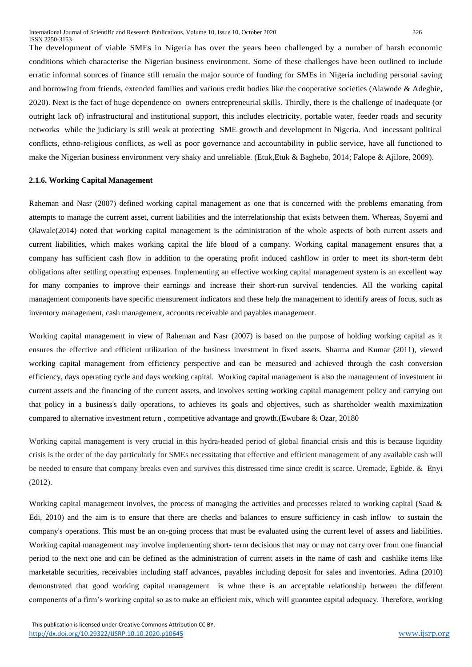The development of viable SMEs in Nigeria has over the years been challenged by a number of harsh economic

conditions which characterise the Nigerian business environment. Some of these challenges have been outlined to include erratic informal sources of finance still remain the major source of funding for SMEs in Nigeria including personal saving and borrowing from friends, extended families and various credit bodies like the cooperative societies (Alawode & Adegbie, 2020). Next is the fact of huge dependence on owners entrepreneurial skills. Thirdly, there is the challenge of inadequate (or outright lack of) infrastructural and institutional support, this includes electricity, portable water, feeder roads and security networks while the judiciary is still weak at protecting SME growth and development in Nigeria. And incessant political conflicts, ethno-religious conflicts, as well as poor governance and accountability in public service, have all functioned to make the Nigerian business environment very shaky and unreliable. (Etuk,Etuk & Baghebo, 2014; Falope & Ajilore, 2009).

## **2.1.6. Working Capital Management**

Raheman and Nasr (2007) defined working capital management as one that is concerned with the problems emanating from attempts to manage the current asset, current liabilities and the interrelationship that exists between them. Whereas, Soyemi and Olawale(2014) noted that working capital management is the administration of the whole aspects of both current assets and current liabilities, which makes working capital the life blood of a company. Working capital management ensures that a company has sufficient cash flow in addition to the operating profit induced cashflow in order to meet its short-term debt obligations after settling operating expenses. Implementing an effective working capital management system is an excellent way for many companies to improve their earnings and increase their short-run survival tendencies. All the working capital management components have specific measurement indicators and these help the management to identify areas of focus, such as inventory management, cash management, accounts receivable and payables management.

Working capital management in view of Raheman and Nasr (2007) is based on the purpose of holding working capital as it ensures the effective and efficient utilization of the business investment in fixed assets. Sharma and Kumar (2011), viewed working capital management from efficiency perspective and can be measured and achieved through the cash conversion efficiency, days operating cycle and days working capital. Working capital management is also the management of investment in current assets and the financing of the current assets, and involves setting working capital management policy and carrying out that policy in a business's daily operations, to achieves its goals and objectives, such as shareholder wealth maximization compared to alternative investment return , competitive advantage and growth.(Ewubare & Ozar, 20180

Working capital management is very crucial in this hydra-headed period of global financial crisis and this is because liquidity crisis is the order of the day particularly for SMEs necessitating that effective and efficient management of any available cash will be needed to ensure that company breaks even and survives this distressed time since credit is scarce. Uremade, Egbide. & Enyi (2012).

Working capital management involves, the process of managing the activities and processes related to working capital (Saad & Edi, 2010) and the aim is to ensure that there are checks and balances to ensure sufficiency in cash inflow to sustain the company's operations. This must be an on-going process that must be evaluated using the current level of assets and liabilities. Working capital management may involve implementing short- term decisions that may or may not carry over from one financial period to the next one and can be defined as the administration of current assets in the name of cash and cashlike items like marketable securities, receivables including staff advances, payables including deposit for sales and inventories. Adina (2010) demonstrated that good working capital management is whne there is an acceptable relationship between the different components of a firm's working capital so as to make an efficient mix, which will guarantee capital adequacy. Therefore, working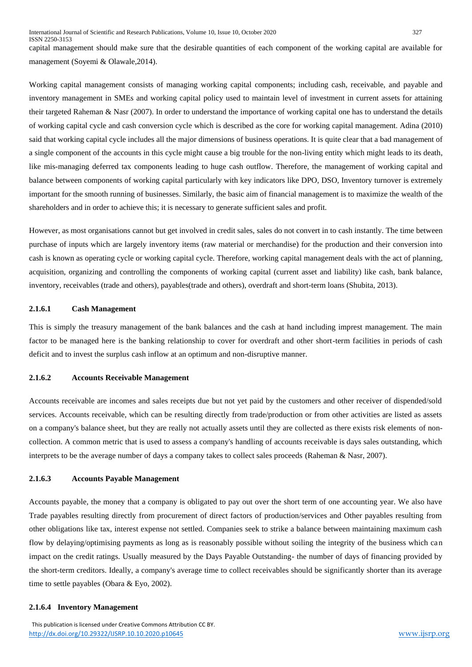capital management should make sure that the desirable quantities of each component of the working capital are available for management (Soyemi & Olawale,2014).

Working capital management consists of managing working capital components; including cash, receivable, and payable and inventory management in SMEs and working capital policy used to maintain level of investment in current assets for attaining their targeted Raheman & Nasr (2007). In order to understand the importance of working capital one has to understand the details of working capital cycle and cash conversion cycle which is described as the core for working capital management. Adina (2010) said that working capital cycle includes all the major dimensions of business operations. It is quite clear that a bad management of a single component of the accounts in this cycle might cause a big trouble for the non-living entity which might leads to its death, like mis-managing deferred tax components leading to huge cash outflow. Therefore, the management of working capital and balance between components of working capital particularly with key indicators like DPO, DSO, Inventory turnover is extremely important for the smooth running of businesses. Similarly, the basic aim of financial management is to maximize the wealth of the shareholders and in order to achieve this; it is necessary to generate sufficient sales and profit.

However, as most organisations cannot but get involved in credit sales, sales do not convert in to cash instantly. The time between purchase of inputs which are largely inventory items (raw material or merchandise) for the production and their conversion into cash is known as operating cycle or working capital cycle. Therefore, working capital management deals with the act of planning, acquisition, organizing and controlling the components of working capital (current asset and liability) like cash, bank balance, inventory, receivables (trade and others), payables(trade and others), overdraft and short-term loans (Shubita, 2013).

## **2.1.6.1 Cash Management**

This is simply the treasury management of the bank balances and the cash at hand including imprest management. The main factor to be managed here is the banking relationship to cover for overdraft and other short-term facilities in periods of cash deficit and to invest the surplus cash inflow at an optimum and non-disruptive manner.

## **2.1.6.2 Accounts Receivable Management**

Accounts receivable are incomes and sales receipts due but not yet paid by the customers and other receiver of dispended/sold services. Accounts receivable, which can be resulting directly from trade/production or from other activities are listed as assets on a company's balance sheet, but they are really not actually assets until they are collected as there exists risk elements of noncollection. A common metric that is used to assess a company's handling of accounts receivable is days sales outstanding, which interprets to be the average number of days a company takes to collect sales proceeds (Raheman & Nasr, 2007).

## **2.1.6.3 Accounts Payable Management**

Accounts payable, the money that a company is obligated to pay out over the short term of one accounting year. We also have Trade payables resulting directly from procurement of direct factors of production/services and Other payables resulting from other obligations like tax, interest expense not settled. Companies seek to strike a balance between maintaining maximum cash flow by delaying/optimising payments as long as is reasonably possible without soiling the integrity of the business which can impact on the credit ratings. Usually measured by the Days Payable Outstanding- the number of days of financing provided by the short-term creditors. Ideally, a company's average time to collect receivables should be significantly shorter than its average time to settle payables (Obara & Eyo, 2002).

#### **2.1.6.4 Inventory Management**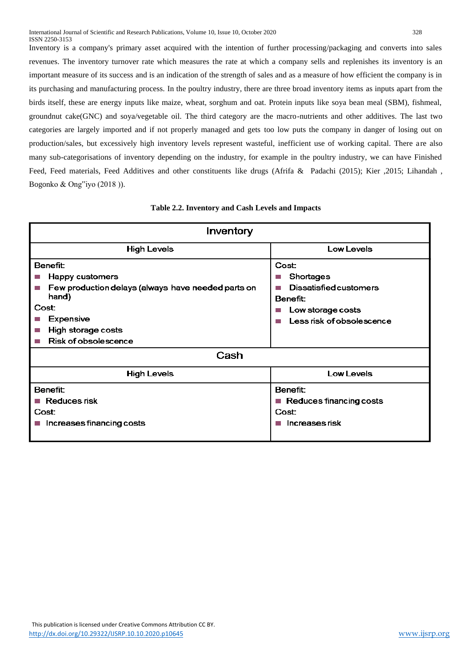Inventory is a company's primary asset acquired with the intention of further processing/packaging and converts into sales revenues. The inventory turnover rate which measures the rate at which a company sells and replenishes its inventory is an important measure of its success and is an indication of the strength of sales and as a measure of how efficient the company is in its purchasing and manufacturing process. In the poultry industry, there are three broad inventory items as inputs apart from the birds itself, these are energy inputs like maize, wheat, sorghum and oat. Protein inputs like soya bean meal (SBM), fishmeal, groundnut cake(GNC) and soya/vegetable oil. The third category are the macro-nutrients and other additives. The last two categories are largely imported and if not properly managed and gets too low puts the company in danger of losing out on

production/sales, but excessively high inventory levels represent wasteful, inefficient use of working capital. There are also many sub-categorisations of inventory depending on the industry, for example in the poultry industry, we can have Finished Feed, Feed materials, Feed Additives and other constituents like drugs (Afrifa & Padachi (2015); Kier ,2015; Lihandah , Bogonko & Ong"iyo (2018 )).

# **Table 2.2. Inventory and Cash Levels and Impacts**

| Inventory                                                                                                                                                              |                                                                                                                                                     |  |
|------------------------------------------------------------------------------------------------------------------------------------------------------------------------|-----------------------------------------------------------------------------------------------------------------------------------------------------|--|
| <b>High Levels</b>                                                                                                                                                     | Low Levels                                                                                                                                          |  |
| Benefit:<br>Happy customers<br>Few production delays (always have needed parts on<br>hand)<br>Cost:<br>Expensive<br>High storage costs<br>Risk of obsolescence<br>Cash | Cost:<br>Shortages<br>T.<br><b>Dissatisfied customers</b><br><b>Tara</b><br>Benefit:<br>Low storage costs<br>l s<br>Less risk of obsolescence<br>h. |  |
| <b>High Levels</b>                                                                                                                                                     | Low Levels                                                                                                                                          |  |
| Benefit:<br>Reduces risk<br>Cost:<br>Increases financing costs                                                                                                         | Benefit:<br>Reduces financing costs<br><b>College</b><br>Cost:<br>Increases risk<br><b>I</b>                                                        |  |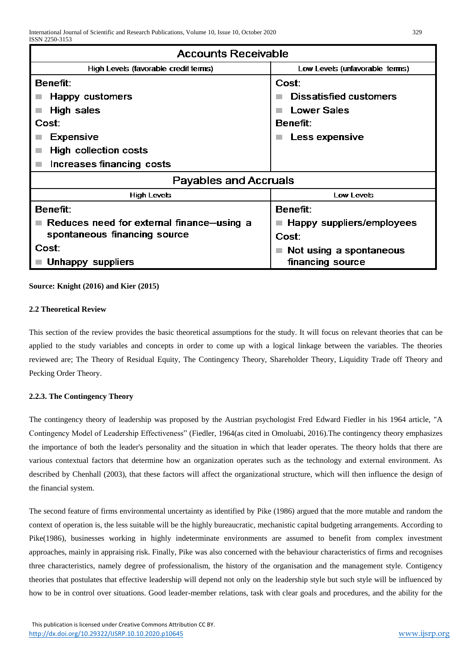| <b>Accounts Receivable</b>                |                                          |  |
|-------------------------------------------|------------------------------------------|--|
| High Levels (favorable credit terms)      | Low Levels (unfavorable terms)           |  |
| <b>Benefit:</b>                           | Cost:                                    |  |
| Happy customers                           | <b>Dissatisfied customers</b>            |  |
| High sales                                | Lower Sales<br><b>Tale</b>               |  |
| Cost:                                     | <b>Benefit:</b>                          |  |
| <b>Expensive</b>                          | Less expensive                           |  |
| High collection costs                     |                                          |  |
| Increases financing costs                 |                                          |  |
| Payables and Accruals                     |                                          |  |
| <b>High Levels</b>                        | Low Levels                               |  |
| Benefit:                                  | Benefit:                                 |  |
| Reduces need for external finance-using a | $\blacksquare$ Happy suppliers/employees |  |
| spontaneous financing source              | Cost:                                    |  |
| Cost:                                     | Not using a spontaneous                  |  |
| Unhappy suppliers                         | financing source                         |  |

# **Source: Knight (2016) and Kier (2015)**

# **2.2 Theoretical Review**

This section of the review provides the basic theoretical assumptions for the study. It will focus on relevant theories that can be applied to the study variables and concepts in order to come up with a logical linkage between the variables. The theories reviewed are; The Theory of Residual Equity, The Contingency Theory, Shareholder Theory, Liquidity Trade off Theory and Pecking Order Theory.

# **2.2.3. The Contingency Theory**

The contingency theory of leadership was proposed by the Austrian psychologist Fred Edward Fiedler in his 1964 article, "A Contingency Model of Leadership Effectiveness" (Fiedler, 1964(as cited in Omoluabi, 2016).The contingency theory emphasizes the importance of both the leader's personality and the situation in which that leader operates. The theory holds that there are various contextual factors that determine how an organization operates such as the technology and external environment. As described by Chenhall (2003), that these factors will affect the organizational structure, which will then influence the design of the financial system.

The second feature of firms environmental uncertainty as identified by Pike (1986) argued that the more mutable and random the context of operation is, the less suitable will be the highly bureaucratic, mechanistic capital budgeting arrangements. According to Pike(1986), businesses working in highly indeterminate environments are assumed to benefit from complex investment approaches, mainly in appraising risk. Finally, Pike was also concerned with the behaviour characteristics of firms and recognises three characteristics, namely degree of professionalism, the history of the organisation and the management style. Contigency theories that postulates that effective leadership will depend not only on the leadership style but such style will be influenced by how to be in control over situations. Good leader-member relations, task with clear goals and procedures, and the ability for the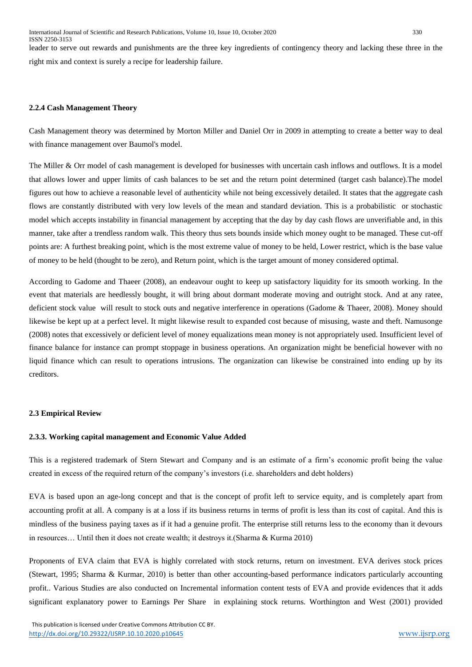leader to serve out rewards and punishments are the three key ingredients of contingency theory and lacking these three in the right mix and context is surely a recipe for leadership failure.

## **2.2.4 Cash Management Theory**

Cash Management theory was determined by Morton Miller and Daniel Orr in 2009 in attempting to create a better way to deal with finance management over Baumol's model.

The Miller & Orr model of cash management is developed for businesses with uncertain cash inflows and outflows. It is a model that allows lower and upper limits of cash balances to be set and the return point determined (target cash balance).The model figures out how to achieve a reasonable level of authenticity while not being excessively detailed. It states that the aggregate cash flows are constantly distributed with very low levels of the mean and standard deviation. This is a probabilistic or stochastic model which accepts instability in financial management by accepting that the day by day cash flows are unverifiable and, in this manner, take after a trendless random walk. This theory thus sets bounds inside which money ought to be managed. These cut-off points are: A furthest breaking point, which is the most extreme value of money to be held, Lower restrict, which is the base value of money to be held (thought to be zero), and Return point, which is the target amount of money considered optimal.

According to Gadome and Thaeer (2008), an endeavour ought to keep up satisfactory liquidity for its smooth working. In the event that materials are heedlessly bought, it will bring about dormant moderate moving and outright stock. And at any ratee, deficient stock value will result to stock outs and negative interference in operations (Gadome & Thaeer, 2008). Money should likewise be kept up at a perfect level. It might likewise result to expanded cost because of misusing, waste and theft. Namusonge (2008) notes that excessively or deficient level of money equalizations mean money is not appropriately used. Insufficient level of finance balance for instance can prompt stoppage in business operations. An organization might be beneficial however with no liquid finance which can result to operations intrusions. The organization can likewise be constrained into ending up by its creditors.

# **2.3 Empirical Review**

## **2.3.3. Working capital management and Economic Value Added**

This is a registered trademark of Stern Stewart and Company and is an estimate of a firm's economic profit being the value created in excess of the required return of the company's investors (i.e. shareholders and debt holders)

EVA is based upon an age-long concept and that is the concept of profit left to service equity, and is completely apart from accounting profit at all. A company is at a loss if its business returns in terms of profit is less than its cost of capital. And this is mindless of the business paying taxes as if it had a genuine profit. The enterprise still returns less to the economy than it devours in resources… Until then it does not create wealth; it destroys it.(Sharma & Kurma 2010)

Proponents of EVA claim that EVA is highly correlated with stock returns, return on investment. EVA derives stock prices (Stewart, 1995; Sharma & Kurmar, 2010) is better than other accounting-based performance indicators particularly accounting profit.. Various Studies are also conducted on Incremental information content tests of EVA and provide evidences that it adds significant explanatory power to Earnings Per Share in explaining stock returns. Worthington and West (2001) provided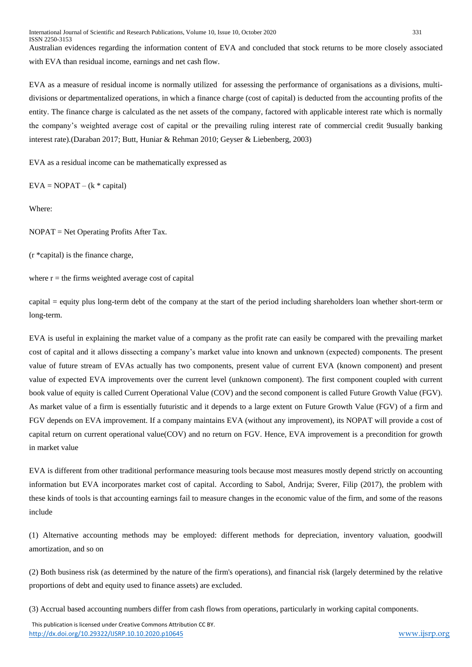Australian evidences regarding the information content of EVA and concluded that stock returns to be more closely associated with EVA than residual income, earnings and net cash flow.

EVA as a measure of residual income is normally utilized for assessing the performance of organisations as a divisions, multidivisions or departmentalized operations, in which a finance charge (cost of capital) is deducted from the accounting profits of the entity. The finance charge is calculated as the net assets of the company, factored with applicable interest rate which is normally the company's weighted average cost of capital or the prevailing ruling interest rate of commercial credit 9usually banking interest rate).(Daraban 2017; Butt, Huniar & Rehman 2010; Geyser & Liebenberg, 2003)

EVA as a residual income can be mathematically expressed as

 $EVA = NOPAT - (k * capital)$ 

Where:

NOPAT = Net Operating Profits After Tax.

(r \*capital) is the finance charge,

where  $r =$  the firms weighted average cost of capital

capital = equity plus long-term debt of the company at the start of the period including shareholders loan whether short-term or long-term.

EVA is useful in explaining the market value of a company as the profit rate can easily be compared with the prevailing market cost of capital and it allows dissecting a company's market value into known and unknown (expected) components. The present value of future stream of EVAs actually has two components, present value of current EVA (known component) and present value of expected EVA improvements over the current level (unknown component). The first component coupled with current book value of equity is called Current Operational Value (COV) and the second component is called Future Growth Value (FGV). As market value of a firm is essentially futuristic and it depends to a large extent on Future Growth Value (FGV) of a firm and FGV depends on EVA improvement. If a company maintains EVA (without any improvement), its NOPAT will provide a cost of capital return on current operational value(COV) and no return on FGV. Hence, EVA improvement is a precondition for growth in market value

EVA is different from other traditional performance measuring tools because most measures mostly depend strictly on accounting information but EVA incorporates market cost of capital. According to Sabol, Andrija; Sverer, Filip (2017), the problem with these kinds of tools is that accounting earnings fail to measure changes in the economic value of the firm, and some of the reasons include

(1) Alternative accounting methods may be employed: different methods for depreciation, inventory valuation, goodwill amortization, and so on

(2) Both business risk (as determined by the nature of the firm's operations), and financial risk (largely determined by the relative proportions of debt and equity used to finance assets) are excluded.

(3) Accrual based accounting numbers differ from cash flows from operations, particularly in working capital components.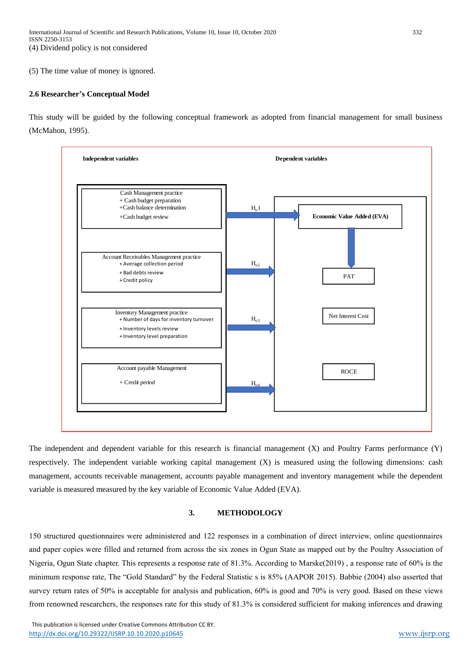## (5) The time value of money is ignored.

## **2.6 Researcher's Conceptual Model**

This study will be guided by the following conceptual framework as adopted from financial management for small business (McMahon, 1995).



The independent and dependent variable for this research is financial management (X) and Poultry Farms performance (Y) respectively. The independent variable working capital management (X) is measured using the following dimensions: cash management, accounts receivable management, accounts payable management and inventory management while the dependent variable is measured measured by the key variable of Economic Value Added (EVA).

## **3. METHODOLOGY**

150 structured questionnaires were administered and 122 responses in a combination of direct interview, online questionnaires and paper copies were filled and returned from across the six zones in Ogun State as mapped out by the Poultry Association of Nigeria, Ogun State chapter. This represents a response rate of 81.3%. According to Marske(2019) , a response rate of 60% is the minimum response rate, The "Gold Standard" by the Federal Statistic s is 85% (AAPOR 2015). Babbie (2004) also asserted that survey return rates of 50% is acceptable for analysis and publication, 60% is good and 70% is very good. Based on these views from renowned researchers, the responses rate for this study of 81.3% is considered sufficient for making inferences and drawing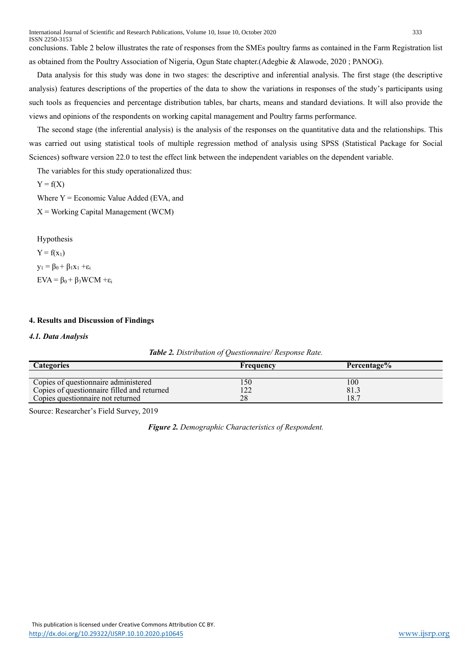conclusions. Table 2 below illustrates the rate of responses from the SMEs poultry farms as contained in the Farm Registration list as obtained from the Poultry Association of Nigeria, Ogun State chapter.(Adegbie & Alawode, 2020 ; PANOG).

Data analysis for this study was done in two stages: the descriptive and inferential analysis. The first stage (the descriptive analysis) features descriptions of the properties of the data to show the variations in responses of the study's participants using such tools as frequencies and percentage distribution tables, bar charts, means and standard deviations. It will also provide the views and opinions of the respondents on working capital management and Poultry farms performance.

The second stage (the inferential analysis) is the analysis of the responses on the quantitative data and the relationships. This was carried out using statistical tools of multiple regression method of analysis using SPSS (Statistical Package for Social Sciences) software version 22.0 to test the effect link between the independent variables on the dependent variable.

The variables for this study operationalized thus:

 $Y = f(X)$ 

Where  $Y = E$ conomic Value Added (EVA, and

 $X =$  Working Capital Management (WCM)

Hypothesis

 $Y = f(x_1)$  $y_1 = \beta_0 + \beta_1 x_1 + \varepsilon_1$  $EVA = \beta_0 + \beta_3 WCM + \varepsilon_i$ 

# **4. Results and Discussion of Findings**

# *4.1. Data Analysis*

| Table 2. Distribution of Questionnaire/ Response Rate. |  |  |
|--------------------------------------------------------|--|--|
|--------------------------------------------------------|--|--|

| <b>Categories</b>                           | Frequency | Percentage% |
|---------------------------------------------|-----------|-------------|
|                                             |           |             |
| Copies of questionnaire administered        | l 50      | 100         |
| Copies of questionnaire filled and returned |           | 81.3        |
| Copies questionnaire not returned           | 28        | 18.7        |

Source: Researcher's Field Survey, 2019

*Figure 2. Demographic Characteristics of Respondent.*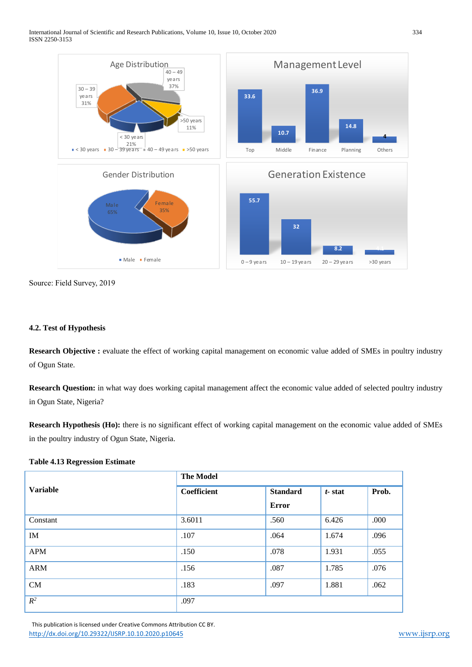International Journal of Scientific and Research Publications, Volume 10, Issue 10, October 2020 334 ISSN 2250-3153



Source: Field Survey, 2019

# **4.2. Test of Hypothesis**

**Research Objective :** evaluate the effect of working capital management on economic value added of SMEs in poultry industry of Ogun State.

**Research Question:** in what way does working capital management affect the economic value added of selected poultry industry in Ogun State, Nigeria?

**Research Hypothesis (Ho):** there is no significant effect of working capital management on the economic value added of SMEs in the poultry industry of Ogun State, Nigeria.

## **Table 4.13 Regression Estimate**

|                 | <b>The Model</b> |                 |           |       |
|-----------------|------------------|-----------------|-----------|-------|
| <b>Variable</b> | Coefficient      | <b>Standard</b> | $t$ -stat | Prob. |
|                 |                  | <b>Error</b>    |           |       |
| Constant        | 3.6011           | .560            | 6.426     | .000  |
| IM              | .107             | .064            | 1.674     | .096  |
| <b>APM</b>      | .150             | .078            | 1.931     | .055  |
| <b>ARM</b>      | .156             | .087            | 1.785     | .076  |
| CM              | .183             | .097            | 1.881     | .062  |
| $R^2$           | .097             |                 |           |       |

 This publication is licensed under Creative Commons Attribution CC BY. <http://dx.doi.org/10.29322/IJSRP.10.10.2020.p10645> [www.ijsrp.org](http://ijsrp.org/)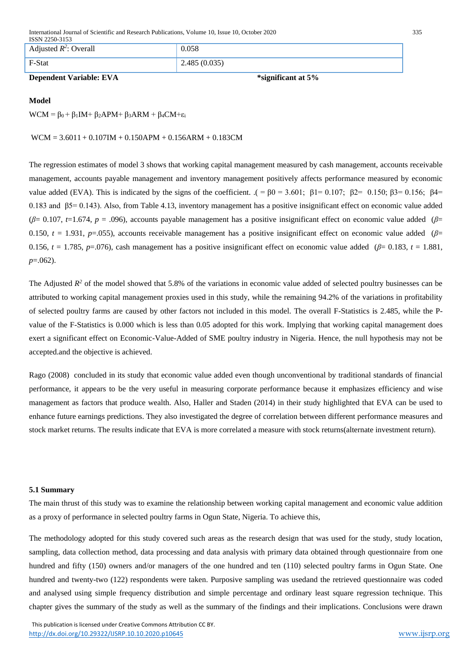International Journal of Scientific and Research Publications, Volume 10, Issue 10, October 2020 335

| ISSN 2250-3153           |              |
|--------------------------|--------------|
| Adjusted $R^2$ : Overall | 0.058        |
| F-Stat                   | 2.485(0.035) |

# **Dependent Variable: EVA \*significant at 5%**

# **Model**

 $WCM = \beta_0 + \beta_1 IM + \beta_2APM + \beta_3ARM + \beta_4CM + \epsilon_i$ 

 $WCM = 3.6011 + 0.107IM + 0.150APM + 0.156ARN + 0.183CM$ 

The regression estimates of model 3 shows that working capital management measured by cash management, accounts receivable management, accounts payable management and inventory management positively affects performance measured by economic value added (EVA). This is indicated by the signs of the coefficient. .( = β0 = 3.601; β1= 0.107; β2= 0.150; β3= 0.156; β4= 0.183 and β5= 0.143). Also, from Table 4.13, inventory management has a positive insignificant effect on economic value added (*β*= 0.107, *t*=1.674, *p* = .096), accounts payable management has a positive insignificant effect on economic value added (*β*= 0.150, *t* = 1.931, *p*=.055), accounts receivable management has a positive insignificant effect on economic value added (*β*= 0.156, *t* = 1.785, *p*=.076), cash management has a positive insignificant effect on economic value added (*β*= 0.183, *t* = 1.881, *p*=.062).

The Adjusted  $R<sup>2</sup>$  of the model showed that 5.8% of the variations in economic value added of selected poultry businesses can be attributed to working capital management proxies used in this study, while the remaining 94.2% of the variations in profitability of selected poultry farms are caused by other factors not included in this model. The overall F-Statistics is 2.485, while the Pvalue of the F-Statistics is 0.000 which is less than 0.05 adopted for this work. Implying that working capital management does exert a significant effect on Economic-Value-Added of SME poultry industry in Nigeria. Hence, the null hypothesis may not be accepted.and the objective is achieved.

Rago (2008) concluded in its study that economic value added even though unconventional by traditional standards of financial performance, it appears to be the very useful in measuring corporate performance because it emphasizes efficiency and wise management as factors that produce wealth. Also, Haller and Staden (2014) in their study highlighted that EVA can be used to enhance future earnings predictions. They also investigated the degree of correlation between different performance measures and stock market returns. The results indicate that EVA is more correlated a measure with stock returns(alternate investment return).

## **5.1 Summary**

The main thrust of this study was to examine the relationship between working capital management and economic value addition as a proxy of performance in selected poultry farms in Ogun State, Nigeria. To achieve this,

The methodology adopted for this study covered such areas as the research design that was used for the study, study location, sampling, data collection method, data processing and data analysis with primary data obtained through questionnaire from one hundred and fifty (150) owners and/or managers of the one hundred and ten (110) selected poultry farms in Ogun State. One hundred and twenty-two (122) respondents were taken. Purposive sampling was usedand the retrieved questionnaire was coded and analysed using simple frequency distribution and simple percentage and ordinary least square regression technique. This chapter gives the summary of the study as well as the summary of the findings and their implications. Conclusions were drawn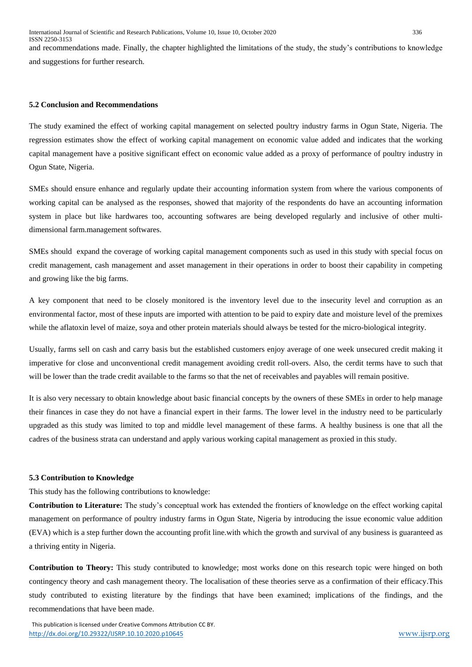and recommendations made. Finally, the chapter highlighted the limitations of the study, the study's contributions to knowledge and suggestions for further research.

#### **5.2 Conclusion and Recommendations**

The study examined the effect of working capital management on selected poultry industry farms in Ogun State, Nigeria. The regression estimates show the effect of working capital management on economic value added and indicates that the working capital management have a positive significant effect on economic value added as a proxy of performance of poultry industry in Ogun State, Nigeria.

SMEs should ensure enhance and regularly update their accounting information system from where the various components of working capital can be analysed as the responses, showed that majority of the respondents do have an accounting information system in place but like hardwares too, accounting softwares are being developed regularly and inclusive of other multidimensional farm.management softwares.

SMEs should expand the coverage of working capital management components such as used in this study with special focus on credit management, cash management and asset management in their operations in order to boost their capability in competing and growing like the big farms.

A key component that need to be closely monitored is the inventory level due to the insecurity level and corruption as an environmental factor, most of these inputs are imported with attention to be paid to expiry date and moisture level of the premixes while the aflatoxin level of maize, soya and other protein materials should always be tested for the micro-biological integrity.

Usually, farms sell on cash and carry basis but the established customers enjoy average of one week unsecured credit making it imperative for close and unconventional credit management avoiding credit roll-overs. Also, the cerdit terms have to such that will be lower than the trade credit available to the farms so that the net of receivables and payables will remain positive.

It is also very necessary to obtain knowledge about basic financial concepts by the owners of these SMEs in order to help manage their finances in case they do not have a financial expert in their farms. The lower level in the industry need to be particularly upgraded as this study was limited to top and middle level management of these farms. A healthy business is one that all the cadres of the business strata can understand and apply various working capital management as proxied in this study.

## **5.3 Contribution to Knowledge**

This study has the following contributions to knowledge:

**Contribution to Literature:** The study's conceptual work has extended the frontiers of knowledge on the effect working capital management on performance of poultry industry farms in Ogun State, Nigeria by introducing the issue economic value addition (EVA) which is a step further down the accounting profit line.with which the growth and survival of any business is guaranteed as a thriving entity in Nigeria.

**Contribution to Theory:** This study contributed to knowledge; most works done on this research topic were hinged on both contingency theory and cash management theory. The localisation of these theories serve as a confirmation of their efficacy.This study contributed to existing literature by the findings that have been examined; implications of the findings, and the recommendations that have been made.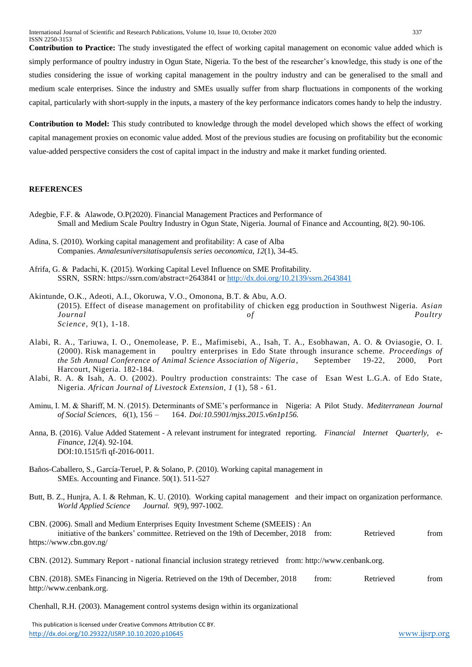**Contribution to Practice:** The study investigated the effect of working capital management on economic value added which is simply performance of poultry industry in Ogun State, Nigeria. To the best of the researcher's knowledge, this study is one of the studies considering the issue of working capital management in the poultry industry and can be generalised to the small and medium scale enterprises. Since the industry and SMEs usually suffer from sharp fluctuations in components of the working capital, particularly with short-supply in the inputs, a mastery of the key performance indicators comes handy to help the industry.

**Contribution to Model:** This study contributed to knowledge through the model developed which shows the effect of working capital management proxies on economic value added. Most of the previous studies are focusing on profitability but the economic value-added perspective considers the cost of capital impact in the industry and make it market funding oriented.

## **REFERENCES**

- Adegbie, F.F. & Alawode, O.P(2020). Financial Management Practices and Performance of Small and Medium Scale Poultry Industry in Ogun State, Nigeria. Journal of Finance and Accounting, 8(2). 90-106.
- Adina, S. (2010). Working capital management and profitability: A case of Alba Companies. *Annalesuniversitatisapulensis series oeconomica, 12*(1), 34-45.
- Afrifa, G. & Padachi, K. (2015). Working Capital Level Influence on SME Profitability. SSRN, SSRN: https://ssrn.com/abstract=2643841 or<http://dx.doi.org/10.2139/ssrn.2643841>
- Akintunde, O.K., Adeoti, A.I., Okoruwa, V.O., Omonona, B.T. & Abu, A.O. (2015). Effect of disease management on profitability of chicken egg production in Southwest Nigeria. *Asian Journal of Poultry Science, 9*(1), 1-18.
- Alabi, R. A., Tariuwa, I. O., Onemolease, P. E., Mafimisebi, A., Isah, T. A., Esobhawan, A. O. & Oviasogie, O. I. (2000). Risk management in poultry enterprises in Edo State through insurance scheme. *Proceedings of the 5th Annual Conference of Animal Science Association of Nigeria*, September 19-22, 2000, Port Harcourt, Nigeria. 182-184.
- Alabi, R. A. & Isah, A. O. (2002). Poultry production constraints: The case of Esan West L.G.A. of Edo State, Nigeria. *African Journal of Livestock Extension, 1* (1), 58 - 61.
- Aminu, I. M. & Shariff, M. N. (2015). Determinants of SME's performance in Nigeria: A Pilot Study. *Mediterranean Journal of Social Sciences, 6*(1), 156 – 164. *Doi:10.5901/mjss.2015.v6n1p156.*
- Anna, B. (2016). Value Added Statement A relevant instrument for integrated reporting. *Financial Internet Quarterly, e-Finance, 12*(4). 92-104. DOI:10.1515/fi qf-2016-0011.
- Baños-Caballero, S., García-Teruel, P. & Solano, P. (2010). Working capital management in SMEs. Accounting and Finance. 50(1). 511-527
- Butt, B. Z., Hunjra, A. I. & Rehman, K. U. (2010). Working capital management and their impact on organization performance*. World Applied Science Journal. 9*(9), 997-1002*.*
- CBN. (2006). Small and Medium Enterprises Equity Investment Scheme (SMEEIS) : An initiative of the bankers' committee. Retrieved on the 19th of December, 2018 from: Retrieved from https://www.cbn.gov.ng/
- CBN. (2012). Summary Report national financial inclusion strategy retrieved from: http://www.cenbank.org.

CBN. (2018). SMEs Financing in Nigeria. Retrieved on the 19th of December, 2018 from: Retrieved from http://www.cenbank.org.

Chenhall, R.H. (2003). Management control systems design within its organizational

 This publication is licensed under Creative Commons Attribution CC BY. <http://dx.doi.org/10.29322/IJSRP.10.10.2020.p10645> [www.ijsrp.org](http://ijsrp.org/)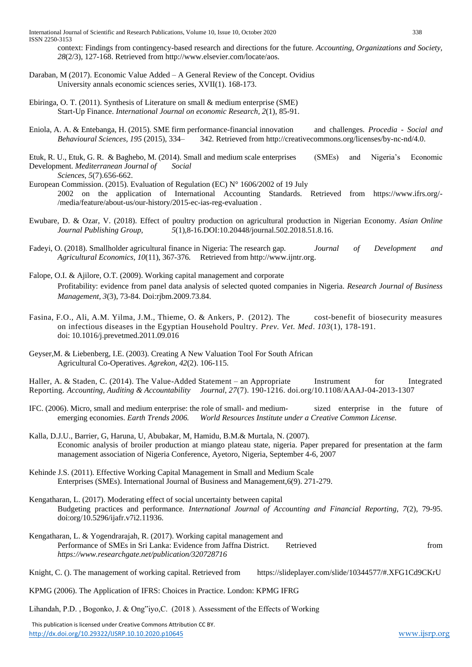International Journal of Scientific and Research Publications, Volume 10, Issue 10, October 2020 338 ISSN 2250-3153

context: Findings from contingency-based research and directions for the future*. Accounting, Organizations and Society, 28*(2/3), 127-168. Retrieved from http://www.elsevier.com/locate/aos.

- Daraban, M (2017). Economic Value Added A General Review of the Concept. Ovidius University annals economic sciences series, XVII(1). 168-173.
- Ebiringa, O. T. (2011). Synthesis of Literature on small & medium enterprise (SME) Start-Up Finance. *International Journal on economic Research, 2*(1), 85-91.
- Eniola, A. A. & Entebanga, H. (2015). SME firm performance-financial innovation and challenges. *Procedia - Social and Behavioural Sciences, 195* (2015), 334– 342*.* Retrieved from http://creativecommons.org/licenses/by-nc-nd/4.0.
- Etuk, R. U., Etuk, G. R. & Baghebo, M. (2014). Small and medium scale enterprises (SMEs) and Nigeria's Economic Development. *Mediterranean Journal of Social*
- *Sciences, 5*(7).656-662. European Commission. (2015). Evaluation of Regulation (EC) N° 1606/2002 of 19 July 2002 on the application of International Accounting Standards. Retrieved from https://www.ifrs.org/- /media/feature/about-us/our-history/2015-ec-ias-reg-evaluation .
- Ewubare, D. & Ozar, V. (2018). Effect of poultry production on agricultural production in Nigerian Economy. *Asian Online Journal Publishing Group, 5*(1),8-16.DOI:10.20448/journal.502.2018.51.8.16.
- Fadeyi, O. (2018). Smallholder agricultural finance in Nigeria: The research gap*. Journal of Development and Agricultural Economics, 10*(11), 367-376*.* Retrieved from http://www.ijntr.org.
- Falope, O.I. & Ajilore, O.T. (2009). Working capital management and corporate Profitability: evidence from panel data analysis of selected quoted companies in Nigeria. *Research Journal of Business Management, 3*(3), 73-84. Doi:rjbm.2009.73.84.
- Fasina, F.O., Ali, A.M. Yilma, J.M., Thieme, O. & Ankers, P. (2012). The cost-benefit of biosecurity measures on infectious diseases in the Egyptian Household Poultry. *Prev. Vet. Med*. *103*(1), 178-191. doi: 10.1016/j.prevetmed.2011.09.016
- Geyser,M. & Liebenberg, I.E. (2003). Creating A New Valuation Tool For South African Agricultural Co-Operatives. *Agrekon, 42*(2). 106-115.

Haller, A. & Staden, C. (2014). The Value-Added Statement – an Appropriate Instrument for Integrated Reporting. *Accounting, Auditing & Accountability Journal*, *27*(7). 190-1216. doi.org/10.1108/AAAJ-04-2013-1307

IFC. (2006). Micro, small and medium enterprise: the role of small- and medium- sized enterprise in the future of emerging economies. *Earth Trends 2006. World Resources Institute under a Creative Common License.*

Kalla, D.J.U., Barrier, G, Haruna, U, Abubakar, M, Hamidu, B.M.& Murtala, N. (2007). Economic analysis of broiler production at miango plateau state, nigeria. Paper prepared for presentation at the farm management association of Nigeria Conference, Ayetoro, Nigeria, September 4-6, 2007

- Kehinde J.S. (2011). Effective Working Capital Management in Small and Medium Scale Enterprises (SMEs). International Journal of Business and Management,6(9). 271-279.
- Kengatharan, L. (2017). Moderating effect of social uncertainty between capital Budgeting practices and performance*. International Journal of Accounting and Financial Reporting, 7*(2)*,* 79-95. doi:org/10.5296/ijafr.v7i2.11936.
- Kengatharan, L. & Yogendrarajah, R. (2017). Working capital management and Performance of SMEs in Sri Lanka: Evidence from Jaffna District. Retrieved from *https://www.researchgate.net/publication/320728716*
- Knight, C. (). The management of working capital. Retrieved from https://slideplayer.com/slide/10344577/#.XFG1Cd9CKrU
- KPMG (2006). The Application of IFRS: Choices in Practice. London: KPMG IFRG

Lihandah, P.D. , Bogonko, J. & Ong"iyo,C. (2018 ). Assessment of the Effects of Working

 This publication is licensed under Creative Commons Attribution CC BY. <http://dx.doi.org/10.29322/IJSRP.10.10.2020.p10645> [www.ijsrp.org](http://ijsrp.org/)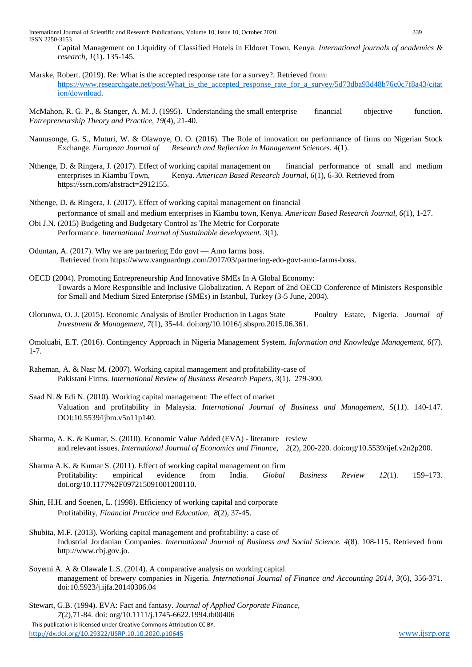International Journal of Scientific and Research Publications, Volume 10, Issue 10, October 2020 339 ISSN 2250-3153

Capital Management on Liquidity of Classified Hotels in Eldoret Town, Kenya. *International journals of academics & research, 1*(1). 135-145.

Marske, Robert. (2019). Re: What is the accepted response rate for a survey?. Retrieved from: [https://www.researchgate.net/post/What\\_is\\_the\\_accepted\\_response\\_rate\\_for\\_a\\_survey/5d73dba93d48b76c0c7f8a43/citat](https://www.researchgate.net/post/What_is_the_accepted_response_rate_for_a_survey/5d73dba93d48b76c0c7f8a43/citation/download) [ion/download.](https://www.researchgate.net/post/What_is_the_accepted_response_rate_for_a_survey/5d73dba93d48b76c0c7f8a43/citation/download)

McMahon, R. G. P., & Stanger, A. M. J. (1995). Understanding the small enterprise financial objective function. *Entrepreneurship Theory and Practice, 19*(4), 21-40*.*

- Namusonge, G. S., Muturi, W. & Olawoye, O. O. (2016). The Role of innovation on performance of firms on Nigerian Stock Exchange. *European Journal of Research and Reflection in Management Sciences. 4*(1).
- Nthenge, D. & Ringera, J. (2017). Effect of working capital management on financial performance of small and medium enterprises in Kiambu Town, Kenya. *American Based Research Journal, 6*(1), 6-30*.* Retrieved from https://ssrn.com/abstract=2912155.
- Nthenge, D. & Ringera, J. (2017). Effect of working capital management on financial performance of small and medium enterprises in Kiambu town, Kenya. *American Based Research Journal, 6*(1), 1-27.
- Obi J.N. (2015) Budgeting and Budgetary Control as The Metric for Corporate Performance. *International Journal of Sustainable development. 3*(1).
- Oduntan, A. (2017). Why we are partnering Edo govt Amo farms boss. Retrieved from https://www.vanguardngr.com/2017/03/partnering-edo-govt-amo-farms-boss.
- OECD (2004). Promoting Entrepreneurship And Innovative SMEs In A Global Economy: Towards a More Responsible and Inclusive Globalization. A Report of 2nd OECD Conference of Ministers Responsible for Small and Medium Sized Enterprise (SMEs) in Istanbul, Turkey (3-5 June, 2004).
- Olorunwa, O. J. (2015). Economic Analysis of Broiler Production in Lagos State Poultry Estate, Nigeria. *Journal of Investment & Management, 7*(1), 35-44. doi:org/10.1016/j.sbspro.2015.06.361.

Omoluabi, E.T. (2016). Contingency Approach in Nigeria Management System. *Information and Knowledge Management, 6*(7). 1-7.

- Raheman, A. & Nasr M. (2007). Working capital management and profitability-case of Pakistani Firms. *International Review of Business Research Papers, 3*(1). 279-300.
- Saad N. & Edi N. (2010). Working capital management: The effect of market Valuation and profitability in Malaysia. *International Journal of Business and Management, 5*(11). 140-147. DOI:10.5539/ijbm.v5n11p140.
- Sharma, A. K. & Kumar, S. (2010). Economic Value Added (EVA) literature review and relevant issues. *International Journal of Economics and Finance, 2*(2), 200-220. doi:org/10.5539/ijef.v2n2p200.
- Sharma A.K. & Kumar S. (2011). Effect of working capital management on firm Profitability: empirical evidence from India. *Global Business Review 12*(1). 159–173. doi.org/10.1177%2F097215091001200110.
- Shin, H.H. and Soenen, L. (1998). Efficiency of working capital and corporate Profitability, *Financial Practice and Education, 8*(2), 37-45.
- Shubita, M.F. (2013). Working capital management and profitability: a case of Industrial Jordanian Companies. *International Journal of Business and Social Science. 4*(8). 108-115. Retrieved from http://www.cbj.gov.jo.
- Soyemi A. A & Olawale L.S. (2014). A comparative analysis on working capital management of brewery companies in Nigeria. *International Journal of Finance and Accounting 2014, 3*(6), 356-371. doi:10.5923/j.ijfa.20140306.04

 This publication is licensed under Creative Commons Attribution CC BY. Stewart, G.B. (1994). EVA: Fact and fantasy. *Journal of Applied Corporate Finance, 7*(2),71-84*.* doi: org/10.1111/j.1745-6622.1994.tb00406

<http://dx.doi.org/10.29322/IJSRP.10.10.2020.p10645> [www.ijsrp.org](http://ijsrp.org/)